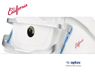California



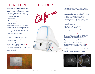# P I O N E E R I N G T E C H N O L O G Y BENEFITS

**optos introduces its latest ultra-widefield (uWF™) imaging device, California,** designed to be customizable for use in multiple eyecare settings. With this new device, Optos now offers ultra-widefield indocyanine green angiography (*icg*) in combination with:

- Composite color
- Red-free
- Autofluorescence (*af*)
- Fluorescein angiography (*fa*)

Images are now presented in ProView™ which displays **opto**map in a consistent geometry that accurately represents anatomical features in the retina. Further, ProView enables automatic image registration for tracking over time and inter-modality image comparison.

The new optical design optimizes and maintains resolution of the **opto**map images throughout the scan of the retina resulting in more clarity in the far periphery.

Image overlay enables comparison between composite color images and red-free, *af*, *fa*, or *icg* images. Additionally, comparisons can be made between different images or different dates by scrolling through all stored images from the current or prior visit.







- **•** california is designed as a compact, table-top model to reduce space requirements. further, the new design leads to ease of use and faster image capture.
- **•** Non-mydriatic, high resolution imaging through many cataracts and/or 2mm pupils saves time in busy practices.
- **•** comprehensive retinal analysis through multiple wavelengths and image modalities, all in UWf.
- **•** composite color images can be viewed in their separate laser channels to show specific depths of the retina:
- Green (532 nm) "red-free" visualizes the sensory retina to the RpE
- Red (635 nm) shows deeper structures of the retina (RpE to choroid)
- infrared (802 nm) provides images at the choroid level
- Blue (488 nm) is used during *fa* procedures

**Innovative OptosAdvance review platform that simplifies** workflow while enabling comparison overlay between image modalities and different dates, over time.

**•** Browser-based image review enables simple integration and easy access to your data from any connected pc or tablet in a HIPPA compliant environment.

**•** interweaved angiography enables capture of *fa* and *icg* images without manually switching between imaging modalities.

**•** With UWf views of 200 degrees or up to 82% of the retina, eyecare professionals can see 50% more of the retina when compared to other conventional imaging devices<sup>1</sup>.

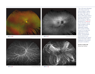



**opto**map **plus** Courtesy of SriniVas Sadda, MD **opto**map **af** Courtesy of SriniVas Sadda, MD **opto**map **af** Courtesy of SriniVas Sadda, MD





*"One of the great advantages of the Optos system has been the ability to capture the largest field of view in one image. The reality is that we didn't know until we had ultra-widefield just how much disease was out in the far periphery. With the introduction of California, we have all of the current image modalities with the added benefit of ICG angiography imaging. ICG is going to be huge because it is an important component in treating difficult disease such as uveitis. I'm particularly excited about the new improvements to the optical system that further enhance visualisation of the inferior and superior periphery."*

**sriniVas r. sadda, Md** Doheny Eye institute